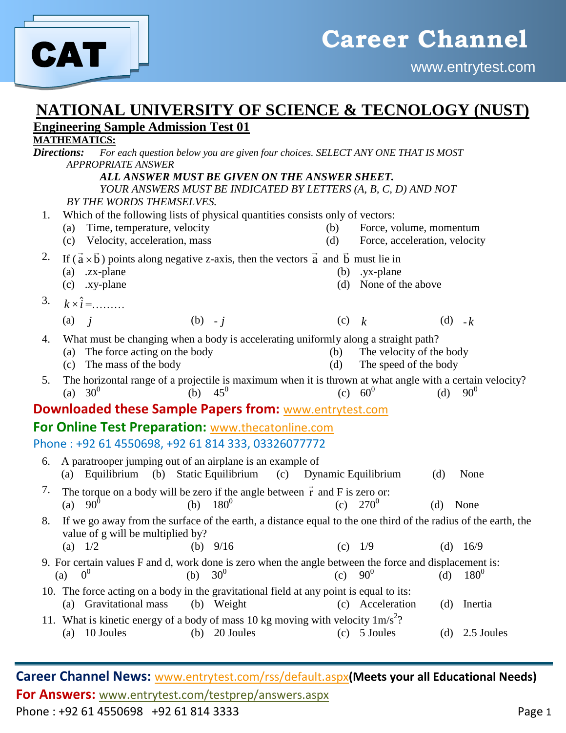

### **NATIONAL UNIVERSITY OF SCIENCE & TECNOLOGY (NUST) Engineering Sample Admission Test 01**

#### **MATHEMATICS:**

*Directions: For each question below you are given four choices. SELECT ANY ONE THAT IS MOST APPROPRIATE ANSWER ALL ANSWER MUST BE GIVEN ON THE ANSWER SHEET. YOUR ANSWERS MUST BE INDICATED BY LETTERS (A, B, C, D) AND NOT BY THE WORDS THEMSELVES.* 1. Which of the following lists of physical quantities consists only of vectors: (a) Time, temperature, velocity (b) Force, volume, momentum (c) Velocity, acceleration, mass (d) Force, acceleration, velocity <sup>2</sup>. If  $(\vec{a} \times \vec{b})$  points along negative z-axis, then the vectors  $\vec{a}$  and  $\vec{b}$  must lie in (a) .zx-plane (b) .yx-plane (c) .xy-plane (d) None of the above 3.  $k \times i =$ ......... (a) *j* (b) - *j* (c) *k* (d) - *k* 4. What must be changing when a body is accelerating uniformly along a straight path? (a) The force acting on the body (b) The velocity of the body (c) The mass of the body (d) The speed of the body 5. The horizontal range of a projectile is maximum when it is thrown at what angle with a certain velocity?<br>(a)  $30^0$  (b)  $45^0$  (c)  $60^0$  (d)  $90^0$ (a)  $30^0$ (b)  $45^0$ (c)  $60^0$  $(d)$ **Downloaded these Sample Papers from:** [www.entrytest.com](http://www.entrytest.com/) **For Online Test Preparation:** [www.thecatonline.com](http://www.thecatonline.com/) Phone : +92 61 4550698, +92 61 814 333, 03326077772 6. A paratrooper jumping out of an airplane is an example of (a) Equilibrium (b) Static Equilibrium (c) Dynamic Equilibrium (d) None 7. The torque on a body will be zero if the angle between  $\vec{r}$  and F is zero or: (a)  $90^0$ (b)  $180^0$ (c)  $270^0$ (d) None 8. If we go away from the surface of the earth, a distance equal to the one third of the radius of the earth, the value of g will be multiplied by? (a)  $1/2$  (b)  $9/16$  (c)  $1/9$  (d)  $16/9$ 9. For certain values F and d, work done is zero when the angle between the force and displacement is:  $(a)$  $0<sup>0</sup>$ (b)  $30^0$ (c)  $90^0$ (d)  $180^0$ 10. The force acting on a body in the gravitational field at any point is equal to its:<br>(a) Gravitational mass (b) Weight (c) Acceleration (a) Gravitational mass (b) Weight (c) Acceleration (d) Inertia 11. What is kinetic energy of a body of mass 10 kg moving with velocity  $1 \text{m/s}^2$ ? (a)  $10$  Joules (b)  $20$  Joules (c)  $5$  Joules (d)  $2.5$  Joules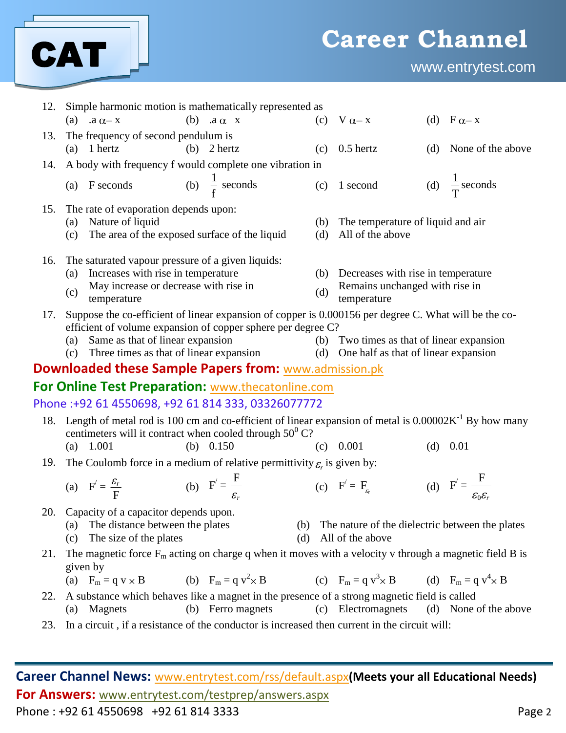

| 12. | Simple harmonic motion is mathematically represented as                                                               |                   |            |                                                                                       |  |                                                  |  |  |
|-----|-----------------------------------------------------------------------------------------------------------------------|-------------------|------------|---------------------------------------------------------------------------------------|--|--------------------------------------------------|--|--|
|     | (b) $.a \alpha x$<br>(a) $.a \alpha - x$                                                                              |                   |            | (c) $V \alpha - x$                                                                    |  | (d) $F \alpha - x$                               |  |  |
| 13. | The frequency of second pendulum is                                                                                   |                   |            |                                                                                       |  |                                                  |  |  |
|     | $(a)$ 1 hertz<br>$(b)$ 2 hertz                                                                                        |                   | (c)        | $0.5$ hertz                                                                           |  | (d) None of the above                            |  |  |
| 14. | A body with frequency f would complete one vibration in                                                               |                   |            |                                                                                       |  |                                                  |  |  |
|     | (b) $\frac{1}{f}$ seconds<br>(a) $F$ seconds                                                                          |                   |            | $(c)$ 1 second                                                                        |  | (d) $\frac{1}{T}$ seconds                        |  |  |
| 15. | The rate of evaporation depends upon:                                                                                 |                   |            |                                                                                       |  |                                                  |  |  |
|     | Nature of liquid<br>(a)<br>The area of the exposed surface of the liquid<br>(c)                                       |                   | (b)<br>(d) | The temperature of liquid and air<br>All of the above                                 |  |                                                  |  |  |
|     |                                                                                                                       |                   |            |                                                                                       |  |                                                  |  |  |
| 16. | The saturated vapour pressure of a given liquids:<br>Increases with rise in temperature<br>(a)                        |                   | (b)        |                                                                                       |  |                                                  |  |  |
|     | May increase or decrease with rise in                                                                                 |                   |            | Decreases with rise in temperature<br>Remains unchanged with rise in                  |  |                                                  |  |  |
|     | (c)<br>temperature                                                                                                    |                   | (d)        | temperature                                                                           |  |                                                  |  |  |
| 17. | Suppose the co-efficient of linear expansion of copper is 0.000156 per degree C. What will be the co-                 |                   |            |                                                                                       |  |                                                  |  |  |
|     | efficient of volume expansion of copper sphere per degree C?                                                          |                   |            |                                                                                       |  |                                                  |  |  |
|     | Same as that of linear expansion<br>(a)<br>Three times as that of linear expansion<br>(c)                             |                   |            | (b) Two times as that of linear expansion<br>(d) One half as that of linear expansion |  |                                                  |  |  |
|     | <b>Downloaded these Sample Papers from:</b> www.admission.pk                                                          |                   |            |                                                                                       |  |                                                  |  |  |
|     |                                                                                                                       |                   |            |                                                                                       |  |                                                  |  |  |
|     | For Online Test Preparation: www.thecatonline.com                                                                     |                   |            |                                                                                       |  |                                                  |  |  |
|     | Phone:+92 61 4550698, +92 61 814 333, 03326077772                                                                     |                   |            |                                                                                       |  |                                                  |  |  |
| 18. | Length of metal rod is 100 cm and co-efficient of linear expansion of metal is $0.00002K^{-1}$ By how many            |                   |            |                                                                                       |  |                                                  |  |  |
|     | centimeters will it contract when cooled through $50^{\circ}$ C?<br>1.001<br>(b) $0.150$<br>(a)                       |                   |            | $(c)$ 0.001                                                                           |  | $(d)$ 0.01                                       |  |  |
| 19. | The Coulomb force in a medium of relative permittivity $\varepsilon_r$ is given by:                                   |                   |            |                                                                                       |  |                                                  |  |  |
|     |                                                                                                                       |                   |            |                                                                                       |  |                                                  |  |  |
|     | (b) $F' = \frac{F}{\varepsilon}$<br>(a) $F' = \frac{\mathcal{E}_r}{F}$                                                |                   |            | (c) $F' = F_{\epsilon}$                                                               |  | (d) $F' = \frac{F}{\varepsilon_0 \varepsilon_r}$ |  |  |
| 20. | Capacity of a capacitor depends upon.                                                                                 |                   |            |                                                                                       |  |                                                  |  |  |
|     | (a) The distance between the plates<br>(c) The size of the plates                                                     | (b)<br>(d)        |            | The nature of the dielectric between the plates<br>All of the above                   |  |                                                  |  |  |
| 21. | The magnetic force $F_m$ acting on charge q when it moves with a velocity v through a magnetic field B is             |                   |            |                                                                                       |  |                                                  |  |  |
|     | given by<br>(a) $F_m = q v \times B$ (b) $F_m = q v^2 \times B$ (c) $F_m = q v^3 \times B$ (d) $F_m = q v^4 \times B$ |                   |            |                                                                                       |  |                                                  |  |  |
| 22. | A substance which behaves like a magnet in the presence of a strong magnetic field is called                          |                   |            |                                                                                       |  |                                                  |  |  |
|     | (a) Magnets                                                                                                           | (b) Ferro magnets |            | (c) Electromagnets                                                                    |  | (d) None of the above                            |  |  |
| 23. | In a circuit, if a resistance of the conductor is increased then current in the circuit will:                         |                   |            |                                                                                       |  |                                                  |  |  |
|     |                                                                                                                       |                   |            |                                                                                       |  |                                                  |  |  |
|     |                                                                                                                       |                   |            |                                                                                       |  |                                                  |  |  |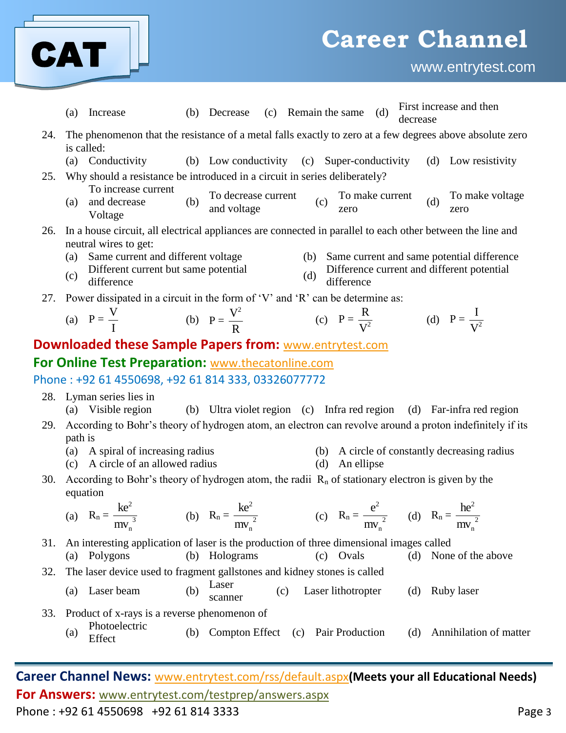

www.entrytest.com

|     | First increase and then<br>(c) Remain the same (d)<br>Increase<br>(b) Decrease<br>(a)<br>decrease                                                                      |
|-----|------------------------------------------------------------------------------------------------------------------------------------------------------------------------|
| 24. | The phenomenon that the resistance of a metal falls exactly to zero at a few degrees above absolute zero<br>is called:                                                 |
|     | (a) Conductivity<br>(b) Low conductivity (c) Super-conductivity<br>(d) Low resistivity                                                                                 |
| 25. | Why should a resistance be introduced in a circuit in series deliberately?                                                                                             |
|     | To increase current<br>To decrease current<br>To make voltage<br>To make current<br>(c)<br>(b)<br>(d)<br>and decrease<br>(a)<br>and voltage<br>zero<br>zero<br>Voltage |
|     | 26. In a house circuit, all electrical appliances are connected in parallel to each other between the line and                                                         |
|     | neutral wires to get:<br>(a) Same current and different voltage<br>(b) Same current and same potential difference                                                      |
|     | Difference current and different potential<br>Different current but same potential<br>(c)<br>(d)<br>difference<br>difference                                           |
|     | 27. Power dissipated in a circuit in the form of 'V' and 'R' can be determine as:                                                                                      |
|     | (a) $P = \frac{V}{I}$ (b) $P = \frac{V^2}{P}$ (c) $P = \frac{R}{V^2}$<br>(d) $P = \frac{1}{V^2}$                                                                       |
|     | <b>Downloaded these Sample Papers from: www.entrytest.com</b>                                                                                                          |
|     | For Online Test Preparation: www.thecatonline.com                                                                                                                      |
|     | Phone: +92 61 4550698, +92 61 814 333, 03326077772                                                                                                                     |
|     | 28. Lyman series lies in<br>(b) Ultra violet region (c) Infra red region (d) Far-infra red region<br>(a) Visible region                                                |
| 29. | According to Bohr's theory of hydrogen atom, an electron can revolve around a proton indefinitely if its                                                               |
|     | path is<br>(a) A spiral of increasing radius<br>(b) A circle of constantly decreasing radius                                                                           |
|     | (c) A circle of an allowed radius<br>(d)<br>An ellipse                                                                                                                 |
| 30. | According to Bohr's theory of hydrogen atom, the radii $R_n$ of stationary electron is given by the<br>equation                                                        |
|     | (a) $R_n = \frac{ke^2}{\pi r^2}$<br>(b) $R_n = \frac{ke^2}{mv_n^2}$<br>(c) $R_n = \frac{e^2}{mv_n^2}$ (d) $R_n = \frac{he^2}{mv_n^2}$<br>$mv_{n}$                      |
| 31. | An interesting application of laser is the production of three dimensional images called                                                                               |
|     | (b) Holograms<br>(c) Ovals<br>(a) Polygons<br>(d) None of the above                                                                                                    |
| 32. | The laser device used to fragment gallstones and kidney stones is called                                                                                               |
|     | Laser<br>(b)<br>Laser beam<br>Laser lithotropter<br>(d) Ruby laser<br>(c)<br>(a)<br>scanner                                                                            |
| 33. | Product of x-rays is a reverse phenomenon of                                                                                                                           |
|     | Photoelectric<br>(b) Compton Effect (c) Pair Production<br>(d) Annihilation of matter<br>(a)<br>Effect                                                                 |
|     |                                                                                                                                                                        |
|     | Career Channel News: www.entrytest.com/rss/default.aspx(Meets your all Educational Needs)                                                                              |

**For Answers:** www.entrytest.com/testprep/answers.aspx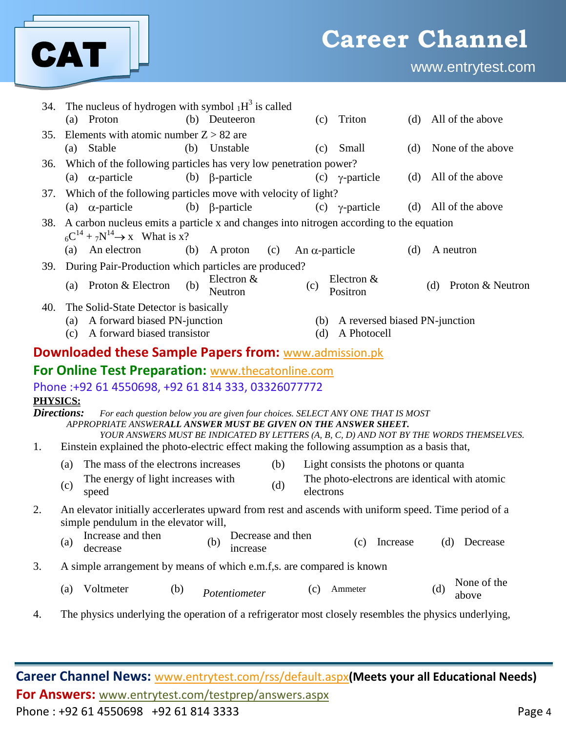

| 34.                     |                                                                                                                                               | The nucleus of hydrogen with symbol $_1H^3$ is called<br>(a) Proton                                  |     | (b) Deuteeron                        |     | (c)                   | Triton                                           | (d) | All of the above                                                                                      |  |  |
|-------------------------|-----------------------------------------------------------------------------------------------------------------------------------------------|------------------------------------------------------------------------------------------------------|-----|--------------------------------------|-----|-----------------------|--------------------------------------------------|-----|-------------------------------------------------------------------------------------------------------|--|--|
| 35.                     |                                                                                                                                               | Elements with atomic number $Z > 82$ are                                                             |     |                                      |     |                       |                                                  |     |                                                                                                       |  |  |
|                         | (a)                                                                                                                                           | Stable                                                                                               |     | (b) Unstable                         |     | (c)                   | Small                                            | (d) | None of the above                                                                                     |  |  |
| 36.                     |                                                                                                                                               | Which of the following particles has very low penetration power?                                     |     |                                      |     |                       |                                                  |     |                                                                                                       |  |  |
|                         |                                                                                                                                               | (a) $\alpha$ -particle                                                                               |     | (b) $\beta$ -particle                |     |                       | $(c) \gamma$ -particle                           | (d) | All of the above                                                                                      |  |  |
| 37.                     |                                                                                                                                               | Which of the following particles move with velocity of light?                                        |     |                                      |     |                       |                                                  |     |                                                                                                       |  |  |
|                         |                                                                                                                                               | (a) $\alpha$ -particle                                                                               |     | (b) $\beta$ -particle                |     |                       | $(c) \gamma$ -particle                           |     | (d) All of the above                                                                                  |  |  |
| 38.                     | A carbon nucleus emits a particle x and changes into nitrogen according to the equation<br>$_{6}C^{14} + _{7}N^{14} \rightarrow x$ What is x? |                                                                                                      |     |                                      |     |                       |                                                  |     |                                                                                                       |  |  |
|                         |                                                                                                                                               | (a) An electron                                                                                      |     | $(b)$ A proton                       | (c) | An $\alpha$ -particle |                                                  | (d) | A neutron                                                                                             |  |  |
| 39.                     |                                                                                                                                               | During Pair-Production which particles are produced?                                                 |     |                                      |     |                       |                                                  |     |                                                                                                       |  |  |
|                         |                                                                                                                                               | (a) Proton & Electron                                                                                | (b) | Electron $&$<br>Neutron              |     | (c)                   | Electron &<br>Positron                           |     | Proton & Neutron<br>(d)                                                                               |  |  |
| 40.                     | (a)<br>(c)                                                                                                                                    | The Solid-State Detector is basically<br>A forward biased PN-junction<br>A forward biased transistor |     |                                      |     | (d)                   | (b) A reversed biased PN-junction<br>A Photocell |     |                                                                                                       |  |  |
|                         |                                                                                                                                               | <b>Downloaded these Sample Papers from: www.admission.pk</b>                                         |     |                                      |     |                       |                                                  |     |                                                                                                       |  |  |
|                         |                                                                                                                                               | For Online Test Preparation: www.thecatonline.com                                                    |     |                                      |     |                       |                                                  |     |                                                                                                       |  |  |
|                         |                                                                                                                                               | Phone:+92 61 4550698, +92 61 814 333, 03326077772                                                    |     |                                      |     |                       |                                                  |     |                                                                                                       |  |  |
| PHYSICS:<br>Directions: |                                                                                                                                               | For each question below you are given four choices. SELECT ANY ONE THAT IS MOST                      |     |                                      |     |                       |                                                  |     |                                                                                                       |  |  |
|                         |                                                                                                                                               | APPROPRIATE ANSWERALL ANSWER MUST BE GIVEN ON THE ANSWER SHEET.                                      |     |                                      |     |                       |                                                  |     | YOUR ANSWERS MUST BE INDICATED BY LETTERS (A, B, C, D) AND NOT BY THE WORDS THEMSELVES.               |  |  |
| 1.                      |                                                                                                                                               | Einstein explained the photo-electric effect making the following assumption as a basis that,        |     |                                      |     |                       |                                                  |     |                                                                                                       |  |  |
|                         | (a)                                                                                                                                           | The mass of the electrons increases                                                                  |     |                                      | (b) |                       | Light consists the photons or quanta             |     |                                                                                                       |  |  |
|                         | (c)                                                                                                                                           | The energy of light increases with<br>speed                                                          |     |                                      | (d) | electrons             |                                                  |     | The photo-electrons are identical with atomic                                                         |  |  |
| 2.                      |                                                                                                                                               | simple pendulum in the elevator will,                                                                |     |                                      |     |                       |                                                  |     | An elevator initially accerlerates upward from rest and ascends with uniform speed. Time period of a  |  |  |
|                         | (a)                                                                                                                                           | Increase and then<br>decrease                                                                        |     | Decrease and then<br>(b)<br>increase |     |                       | Increase<br>(c)                                  |     | Decrease<br>(d)                                                                                       |  |  |
| 3.                      |                                                                                                                                               | A simple arrangement by means of which e.m.f,s. are compared is known                                |     |                                      |     |                       |                                                  |     |                                                                                                       |  |  |
|                         | (a)                                                                                                                                           | Voltmeter                                                                                            | (b) | Potentiometer                        |     | (c)                   | Ammeter                                          |     | None of the<br>(d)<br>above                                                                           |  |  |
| 4.                      |                                                                                                                                               |                                                                                                      |     |                                      |     |                       |                                                  |     | The physics underlying the operation of a refrigerator most closely resembles the physics underlying, |  |  |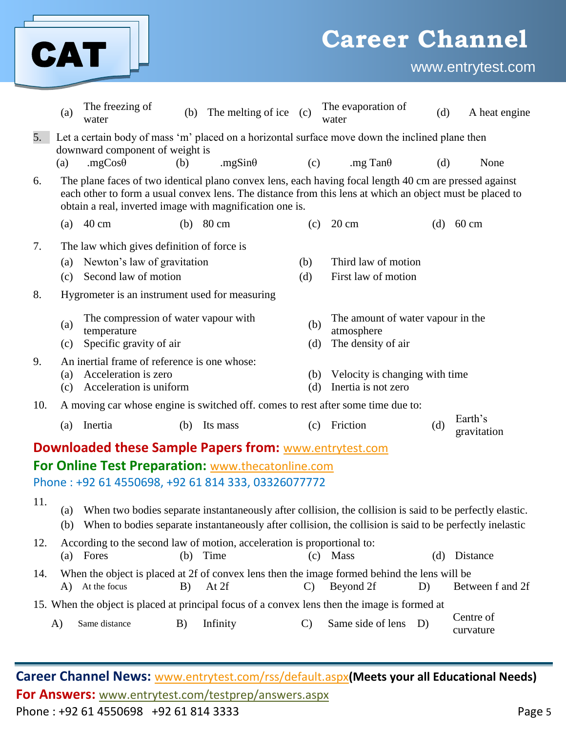|     |            | CAT                                                                                               |     |                                                                                                                                                                                                                                                                                |               | <b>Career Channel</b>                                                 |     | www.entrytest.com      |
|-----|------------|---------------------------------------------------------------------------------------------------|-----|--------------------------------------------------------------------------------------------------------------------------------------------------------------------------------------------------------------------------------------------------------------------------------|---------------|-----------------------------------------------------------------------|-----|------------------------|
|     | (a)        | The freezing of<br>water                                                                          | (b) | The melting of ice (c)                                                                                                                                                                                                                                                         |               | The evaporation of<br>water                                           | (d) | A heat engine          |
| 5.  | (a)        | downward component of weight is<br>.mg $Cos\theta$                                                | (b) | Let a certain body of mass 'm' placed on a horizontal surface move down the inclined plane then<br>.mgSin $\theta$                                                                                                                                                             | (c)           | .mg Tan $\theta$                                                      | (d) | None                   |
| 6.  |            |                                                                                                   |     | The plane faces of two identical plano convex lens, each having focal length 40 cm are pressed against<br>each other to form a usual convex lens. The distance from this lens at which an object must be placed to<br>obtain a real, inverted image with magnification one is. |               |                                                                       |     |                        |
|     | (a)        | $40 \text{ cm}$                                                                                   | (b) | 80 cm                                                                                                                                                                                                                                                                          | (c)           | $20 \text{ cm}$                                                       | (d) | $60 \text{ cm}$        |
| 7.  | (a)<br>(c) | The law which gives definition of force is<br>Newton's law of gravitation<br>Second law of motion |     |                                                                                                                                                                                                                                                                                | (b)<br>(d)    | Third law of motion<br>First law of motion                            |     |                        |
| 8.  |            | Hygrometer is an instrument used for measuring                                                    |     |                                                                                                                                                                                                                                                                                |               |                                                                       |     |                        |
|     | (a)<br>(c) | The compression of water vapour with<br>temperature<br>Specific gravity of air                    |     |                                                                                                                                                                                                                                                                                | (b)<br>(d)    | The amount of water vapour in the<br>atmosphere<br>The density of air |     |                        |
| 9.  | (a)<br>(c) | An inertial frame of reference is one whose:<br>Acceleration is zero<br>Acceleration is uniform   |     |                                                                                                                                                                                                                                                                                | (b)<br>(d)    | Velocity is changing with time<br>Inertia is not zero                 |     |                        |
| 10. |            |                                                                                                   |     | A moving car whose engine is switched off. comes to rest after some time due to:                                                                                                                                                                                               |               |                                                                       |     |                        |
|     | (a)        | Inertia                                                                                           | (b) | Its mass                                                                                                                                                                                                                                                                       | (c)           | Friction                                                              | (d) | Earth's<br>gravitation |
|     |            |                                                                                                   |     | <b>Downloaded these Sample Papers from: www.entrytest.com</b>                                                                                                                                                                                                                  |               |                                                                       |     |                        |
|     |            |                                                                                                   |     | For Online Test Preparation: www.thecatonline.com                                                                                                                                                                                                                              |               |                                                                       |     |                        |
|     |            |                                                                                                   |     | Phone: +92 61 4550698, +92 61 814 333, 03326077772                                                                                                                                                                                                                             |               |                                                                       |     |                        |
| 11. | (a)<br>(b) |                                                                                                   |     | When two bodies separate instantaneously after collision, the collision is said to be perfectly elastic.<br>When to bodies separate instantaneously after collision, the collision is said to be perfectly inelastic                                                           |               |                                                                       |     |                        |
| 12. | (a)        | Fores                                                                                             | (b) | According to the second law of motion, acceleration is proportional to:<br>Time                                                                                                                                                                                                | (c)           | <b>Mass</b>                                                           | (d) | Distance               |
| 14. |            | A) At the focus                                                                                   | B)  | When the object is placed at 2f of convex lens then the image formed behind the lens will be<br>At 2f                                                                                                                                                                          | $\mathbf{C}$  | Beyond 2f                                                             | D)  | Between f and 2f       |
|     |            |                                                                                                   |     | 15. When the object is placed at principal focus of a convex lens then the image is formed at                                                                                                                                                                                  |               |                                                                       |     |                        |
|     | A)         | Same distance                                                                                     | B)  | Infinity                                                                                                                                                                                                                                                                       | $\mathcal{C}$ | Same side of lens                                                     | D)  | Centre of<br>curvature |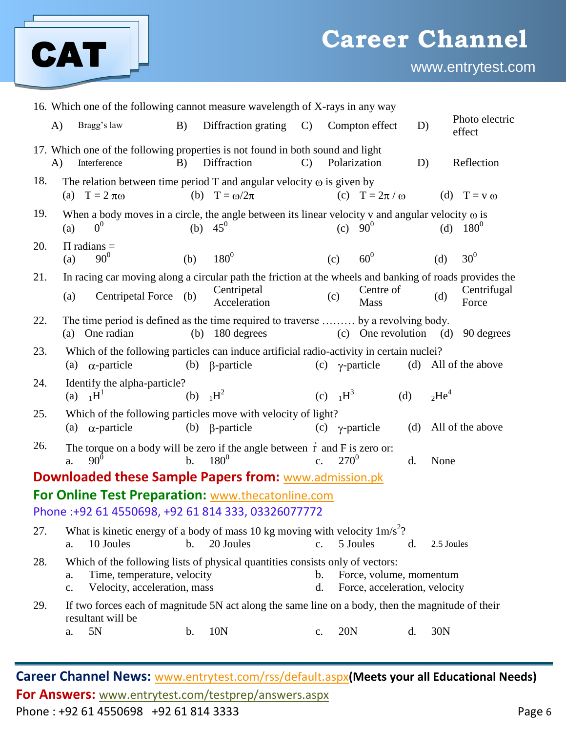

www.entrytest.com

| 16. Which one of the following cannot measure wavelength of X-rays in any way |            |                                                                                                                                              |                |                             |                     |                        |                                                          |     |            |                          |
|-------------------------------------------------------------------------------|------------|----------------------------------------------------------------------------------------------------------------------------------------------|----------------|-----------------------------|---------------------|------------------------|----------------------------------------------------------|-----|------------|--------------------------|
| A)                                                                            |            | Bragg's law                                                                                                                                  | B)             | Diffraction grating         | $\mathcal{C}$       |                        | Compton effect                                           | D)  |            | Photo electric<br>effect |
| $\bf{A}$                                                                      |            | 17. Which one of the following properties is not found in both sound and light<br>Interference                                               | B)             | Diffraction                 | $\mathbf{C}$        |                        | Polarization                                             | D)  |            | Reflection               |
| 18.                                                                           |            | The relation between time period T and angular velocity $\omega$ is given by<br>(a) $T = 2 \pi \omega$                                       |                | (b) $T = \omega/2\pi$       |                     |                        | (c) $T = 2\pi / \omega$                                  |     |            | (d) $T = v \omega$       |
| 19.                                                                           | (a)        | When a body moves in a circle, the angle between its linear velocity v and angular velocity $\omega$ is<br>0 <sup>0</sup>                    | (b)            | $45^0$                      |                     | (c)                    | $90^0$                                                   |     | (d)        | $180^0$                  |
| 20.                                                                           | (a)        | $\Pi$ radians =<br>$90^{0}$                                                                                                                  | (b)            | $180^{0}$                   |                     | (c)                    | $60^0$                                                   |     | (d)        | 30 <sup>0</sup>          |
| 21.                                                                           | (a)        | In racing car moving along a circular path the friction at the wheels and banking of roads provides the<br>Centripetal Force (b)             |                | Centripetal<br>Acceleration |                     | (c)                    | Centre of<br>Mass                                        |     | (d)        | Centrifugal<br>Force     |
| 22.                                                                           |            | The time period is defined as the time required to traverse  by a revolving body.<br>(a) One radian                                          |                | $(b)$ 180 degrees           |                     |                        | (c) One revolution                                       |     | (d)        | 90 degrees               |
| 23.                                                                           | (a)        | Which of the following particles can induce artificial radio-activity in certain nuclei?<br>$\alpha$ -particle                               | (b)            | $\beta$ -particle           | (c)                 |                        | $\gamma$ -particle                                       | (d) |            | All of the above         |
| 24.                                                                           | (a)        | Identify the alpha-particle?<br>$1H^1$                                                                                                       | (b)            | $H^2$                       |                     | (c) $1H^3$             |                                                          | (d) | $2He^{4}$  |                          |
| 25.                                                                           |            | Which of the following particles move with velocity of light?<br>(a) $\alpha$ -particle                                                      |                | (b) $\beta$ -particle       |                     | $(c) \gamma$ -particle |                                                          | (d) |            | All of the above         |
| 26.                                                                           | a.         | The torque on a body will be zero if the angle between $\vec{r}$ and $\vec{F}$ is zero or:<br>$90^0$                                         | $b$ .          | $180^{0}$                   | C <sub>1</sub>      | $270^{0}$              |                                                          | d.  | None       |                          |
|                                                                               |            | <b>Downloaded these Sample Papers from: www.admission.pk</b>                                                                                 |                |                             |                     |                        |                                                          |     |            |                          |
|                                                                               |            | <b>For Online Test Preparation: www.thecatonline.com</b>                                                                                     |                |                             |                     |                        |                                                          |     |            |                          |
|                                                                               |            | Phone:+92 61 4550698, +92 61 814 333, 03326077772                                                                                            |                |                             |                     |                        |                                                          |     |            |                          |
| 27.                                                                           | a.         | What is kinetic energy of a body of mass 10 kg moving with velocity $1 \text{m/s}^2$ ?<br>10 Joules                                          | $\mathbf{b}$ . | 20 Joules                   | C <sub>1</sub>      |                        | 5 Joules                                                 | d.  | 2.5 Joules |                          |
| 28.                                                                           | a.<br>c.   | Which of the following lists of physical quantities consists only of vectors:<br>Time, temperature, velocity<br>Velocity, acceleration, mass |                |                             | $\mathbf b$ .<br>d. |                        | Force, volume, momentum<br>Force, acceleration, velocity |     |            |                          |
| 29.                                                                           | ${\bf a}.$ | If two forces each of magnitude 5N act along the same line on a body, then the magnitude of their<br>resultant will be<br>5N                 | b.             | 10N                         | c.                  | 20N                    |                                                          | d.  | 30N        |                          |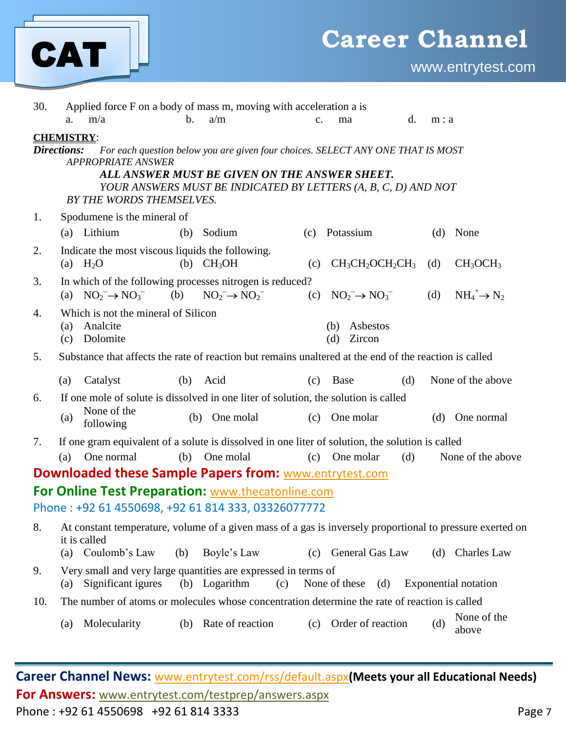

| 30.                                                                                                                                                                                                                                                                                             |            |                                                                |                | Applied force F on a body of mass m, moving with acceleration a is                                                       |               |                                  |     |       |                                  |
|-------------------------------------------------------------------------------------------------------------------------------------------------------------------------------------------------------------------------------------------------------------------------------------------------|------------|----------------------------------------------------------------|----------------|--------------------------------------------------------------------------------------------------------------------------|---------------|----------------------------------|-----|-------|----------------------------------|
|                                                                                                                                                                                                                                                                                                 | a.         | m/a                                                            | $\mathbf{b}$ . | a/m                                                                                                                      | $C_{\bullet}$ | ma                               | d.  | m : a |                                  |
| <b>CHEMISTRY:</b><br>Directions:<br>For each question below you are given four choices. SELECT ANY ONE THAT IS MOST<br><b>APPROPRIATE ANSWER</b><br>ALL ANSWER MUST BE GIVEN ON THE ANSWER SHEET.<br>YOUR ANSWERS MUST BE INDICATED BY LETTERS (A, B, C, D) AND NOT<br>BY THE WORDS THEMSELVES. |            |                                                                |                |                                                                                                                          |               |                                  |     |       |                                  |
| 1.                                                                                                                                                                                                                                                                                              |            | Spodumene is the mineral of                                    |                |                                                                                                                          |               |                                  |     |       |                                  |
|                                                                                                                                                                                                                                                                                                 |            | (a) Lithium                                                    |                | (b) Sodium                                                                                                               | (c)           | Potassium                        |     | (d)   | None                             |
| 2.                                                                                                                                                                                                                                                                                              |            | Indicate the most viscous liquids the following.<br>(a) $H_2O$ |                | (b) $CH3OH$                                                                                                              | (c)           | $CH_3CH_2OCH_2CH_3$              |     | (d)   | CH <sub>3</sub> OCH <sub>3</sub> |
| 3.                                                                                                                                                                                                                                                                                              |            | (a) $NO_2^- \rightarrow NO_3^-$                                | (b)            | In which of the following processes nitrogen is reduced?<br>$NO_2^- \rightarrow NO_2^-$                                  |               | (c) $NO_2^- \rightarrow NO_3^-$  |     | (d)   | $NH_4^+ \rightarrow N_2$         |
| 4.                                                                                                                                                                                                                                                                                              | (a)<br>(c) | Which is not the mineral of Silicon<br>Analcite<br>Dolomite    |                |                                                                                                                          |               | Asbestos<br>(b)<br>(d)<br>Zircon |     |       |                                  |
| 5.                                                                                                                                                                                                                                                                                              |            |                                                                |                | Substance that affects the rate of reaction but remains unaltered at the end of the reaction is called                   |               |                                  |     |       |                                  |
|                                                                                                                                                                                                                                                                                                 | (a)        | Catalyst                                                       | (b)            | Acid                                                                                                                     | (c)           | Base                             | (d) |       | None of the above                |
| 6.                                                                                                                                                                                                                                                                                              | (a)        | None of the<br>following                                       | (b)            | If one mole of solute is dissolved in one liter of solution, the solution is called<br>One molal                         |               | (c) One molar                    |     |       | (d) One normal                   |
| 7.                                                                                                                                                                                                                                                                                              |            |                                                                |                | If one gram equivalent of a solute is dissolved in one liter of solution, the solution is called                         |               |                                  |     |       |                                  |
|                                                                                                                                                                                                                                                                                                 | (a)        | One normal                                                     | (b)            | One molal                                                                                                                | (c)           | One molar                        | (d) |       | None of the above                |
|                                                                                                                                                                                                                                                                                                 |            |                                                                |                | <b>Downloaded these Sample Papers from: www.entrytest.com</b>                                                            |               |                                  |     |       |                                  |
|                                                                                                                                                                                                                                                                                                 |            |                                                                |                | For Online Test Preparation: www.thecatonline.com                                                                        |               |                                  |     |       |                                  |
|                                                                                                                                                                                                                                                                                                 |            |                                                                |                | Phone: +92 61 4550698, +92 61 814 333, 03326077772                                                                       |               |                                  |     |       |                                  |
| 8.                                                                                                                                                                                                                                                                                              |            | it is called<br>(a) Coulomb's Law                              | (b)            | At constant temperature, volume of a given mass of a gas is inversely proportional to pressure exerted on<br>Boyle's Law |               | (c) General Gas Law              |     |       | (d) Charles Law                  |
| 9.                                                                                                                                                                                                                                                                                              | (a)        | Significant igures                                             |                | Very small and very large quantities are expressed in terms of<br>(b) Logarithm<br>(c)                                   |               | None of these $(d)$              |     |       | <b>Exponential notation</b>      |
| 10.                                                                                                                                                                                                                                                                                             |            |                                                                |                | The number of atoms or molecules whose concentration determine the rate of reaction is called                            |               |                                  |     |       |                                  |
|                                                                                                                                                                                                                                                                                                 | (a)        | Molecularity                                                   |                | (b) Rate of reaction                                                                                                     |               | (c) Order of reaction            |     | (d)   | None of the<br>above             |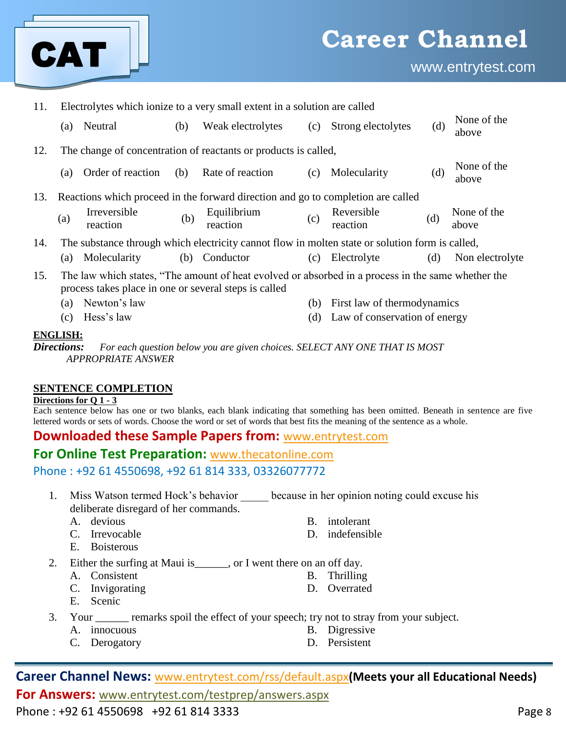

| 11. | Electrolytes which ionize to a very small extent in a solution are called        |                                                       |     |                                                                                                    |     |                               |     |                      |  |
|-----|----------------------------------------------------------------------------------|-------------------------------------------------------|-----|----------------------------------------------------------------------------------------------------|-----|-------------------------------|-----|----------------------|--|
|     | (a)                                                                              | Neutral                                               | (b) | Weak electrolytes                                                                                  | (c) | Strong electolytes            | (d) | None of the<br>above |  |
| 12. |                                                                                  |                                                       |     | The change of concentration of reactants or products is called,                                    |     |                               |     |                      |  |
|     | (a)                                                                              | Order of reaction                                     | (b) | Rate of reaction                                                                                   | (c) | Molecularity                  | (d) | None of the<br>above |  |
| 13. | Reactions which proceed in the forward direction and go to completion are called |                                                       |     |                                                                                                    |     |                               |     |                      |  |
|     | (a)                                                                              | Irreversible<br>reaction                              | (b) | Equilibrium<br>reaction                                                                            | (c) | Reversible<br>reaction        | (d) | None of the<br>above |  |
| 14. |                                                                                  |                                                       |     | The substance through which electricity cannot flow in molten state or solution form is called,    |     |                               |     |                      |  |
|     |                                                                                  | (a) Molecularity                                      |     | (b) Conductor                                                                                      |     | (c) Electrolyte               | (d) | Non electrolyte      |  |
| 15. |                                                                                  | process takes place in one or several steps is called |     | The law which states, "The amount of heat evolved or absorbed in a process in the same whether the |     |                               |     |                      |  |
|     | (a)                                                                              | Newton's law                                          |     |                                                                                                    | (b) | First law of thermodynamics   |     |                      |  |
|     | (c)                                                                              | Hess's law                                            |     |                                                                                                    | (d) | Law of conservation of energy |     |                      |  |
|     | <b>ENGLISH:</b><br>Directions.                                                   |                                                       |     | For each question below you are given choices. SELECT ANV ONE THAT IS MOST                         |     |                               |     |                      |  |

*For each question below you are given choices. SELECT ANY ONE THAT IS MOST APPROPRIATE ANSWER*

#### **SENTENCE COMPLETION**

#### **Directions for Q 1 - 3**

Each sentence below has one or two blanks, each blank indicating that something has been omitted. Beneath in sentence are five lettered words or sets of words. Choose the word or set of words that best fits the meaning of the sentence as a whole.

#### **Downloaded these Sample Papers from:** [www.entrytest.com](http://www.entrytest.com/)

## **For Online Test Preparation:** [www.thecatonline.com](http://www.thecatonline.com/)

Phone : +92 61 4550698, +92 61 814 333, 03326077772

- 1. Miss Watson termed Hock's behavior because in her opinion noting could excuse his deliberate disregard of her commands.
	-
	- C. Irrevocable D. indefensible
	- E. Boisterous
	- A. devious B. intolerant
		-
- 2. Either the surfing at Maui is \_\_\_\_\_, or I went there on an off day.
	- A. Consistent B. Thrilling
	- C. Invigorating D. Overrated
	- E. Scenic
- 3. Your \_\_\_\_\_\_ remarks spoil the effect of your speech; try not to stray from your subject.
	- A. innocuous B. Digressive
		- C. Derogatory D. Persistent
- 
- 

**Career Channel News:** www.entrytest.com/rss/default.aspx**(Meets your all Educational Needs) For Answers:** www.entrytest.com/testprep/answers.aspx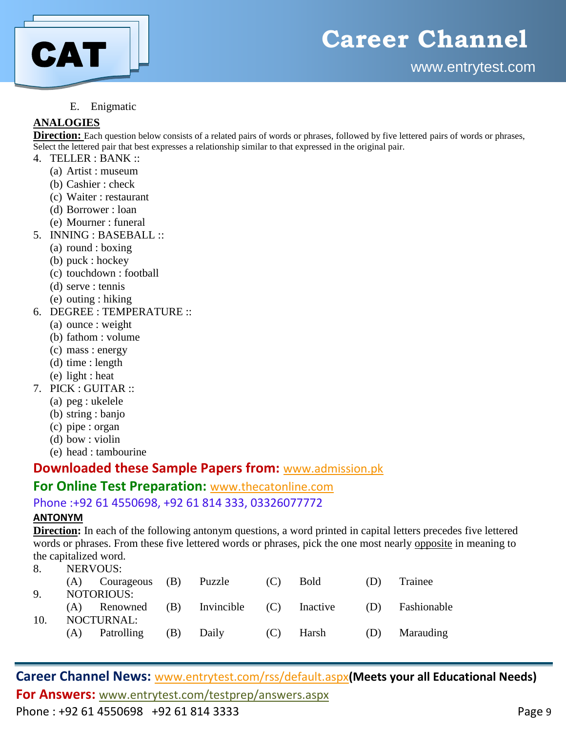

#### E. Enigmatic

#### **ANALOGIES**

**Direction:** Each question below consists of a related pairs of words or phrases, followed by five lettered pairs of words or phrases, Select the lettered pair that best expresses a relationship similar to that expressed in the original pair.

- 4. TELLER : BANK ::
	- (a) Artist : museum
	- (b) Cashier : check
	- (c) Waiter : restaurant
	- (d) Borrower : loan
	- (e) Mourner : funeral
- 5. INNING : BASEBALL ::
	- (a) round : boxing
	- (b) puck : hockey
	- (c) touchdown : football
	- (d) serve : tennis
	- (e) outing : hiking
- 6. DEGREE : TEMPERATURE ::
	- (a) ounce : weight
	- (b) fathom : volume
	- (c) mass : energy
	- (d) time : length
	- (e) light : heat
- 7. PICK : GUITAR ::
	- (a) peg : ukelele
	- (b) string : banjo
	- (c) pipe : organ
	- (d) bow : violin
	- (e) head : tambourine

### **Downloaded these Sample Papers from:** [www.admission.pk](http://www.admission.pk/)

#### **For Online Test Preparation:** [www.thecatonline.com](http://www.thecatonline.com/)

#### Phone :+92 61 4550698, +92 61 814 333, 03326077772

#### **ANTONYM**

**Direction:** In each of the following antonym questions, a word printed in capital letters precedes five lettered words or phrases. From these five lettered words or phrases, pick the one most nearly opposite in meaning to the capitalized word.

8. NERVOUS:

|              |     | $(A)$ Courageous $(B)$                   |     | Puzzle | (C) | <b>Bold</b> | (1) | Trainee         |
|--------------|-----|------------------------------------------|-----|--------|-----|-------------|-----|-----------------|
| $\mathbf{Q}$ |     | <b>NOTORIOUS:</b>                        |     |        |     |             |     |                 |
|              |     | (A) Renowned (B) Invincible (C) Inactive |     |        |     |             |     | (D) Fashionable |
| 10.          |     | <b>NOCTURNAL:</b>                        |     |        |     |             |     |                 |
|              | (A) | Patrolling                               | (B) | Daily  |     | $(C)$ Harsh | (D) | Marauding       |
|              |     |                                          |     |        |     |             |     |                 |

**Career Channel News:** www.entrytest.com/rss/default.aspx**(Meets your all Educational Needs) For Answers:** www.entrytest.com/testprep/answers.aspx